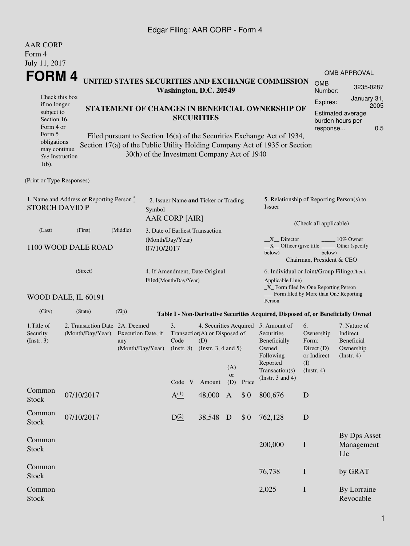## Edgar Filing: AAR CORP - Form 4

| <b>AAR CORP</b><br>Form 4                                                                                     |                                                                      |                                                                                                                |                        |                  |  |                                             |                        |                                                                                                                                                |                                                                                                                                                                                          |                                                                  |                                        |                                                                                |                                   |
|---------------------------------------------------------------------------------------------------------------|----------------------------------------------------------------------|----------------------------------------------------------------------------------------------------------------|------------------------|------------------|--|---------------------------------------------|------------------------|------------------------------------------------------------------------------------------------------------------------------------------------|------------------------------------------------------------------------------------------------------------------------------------------------------------------------------------------|------------------------------------------------------------------|----------------------------------------|--------------------------------------------------------------------------------|-----------------------------------|
| July 11, 2017                                                                                                 |                                                                      |                                                                                                                |                        |                  |  |                                             |                        |                                                                                                                                                |                                                                                                                                                                                          |                                                                  |                                        | <b>OMB APPROVAL</b>                                                            |                                   |
| FORM 4                                                                                                        |                                                                      |                                                                                                                |                        |                  |  |                                             |                        |                                                                                                                                                | UNITED STATES SECURITIES AND EXCHANGE COMMISSION                                                                                                                                         |                                                                  | <b>OMB</b>                             |                                                                                | 3235-0287                         |
| Check this box                                                                                                |                                                                      |                                                                                                                | Washington, D.C. 20549 |                  |  |                                             |                        | Number:                                                                                                                                        |                                                                                                                                                                                          | January 31,                                                      |                                        |                                                                                |                                   |
| if no longer<br>subject to<br>Section 16.<br>Form 4 or<br>Form 5                                              | STATEMENT OF CHANGES IN BENEFICIAL OWNERSHIP OF<br><b>SECURITIES</b> |                                                                                                                |                        |                  |  |                                             |                        |                                                                                                                                                | Expires:                                                                                                                                                                                 | 2005<br>Estimated average<br>burden hours per<br>0.5<br>response |                                        |                                                                                |                                   |
| obligations<br>may continue.<br>See Instruction<br>$1(b)$ .                                                   |                                                                      |                                                                                                                |                        |                  |  | 30(h) of the Investment Company Act of 1940 |                        |                                                                                                                                                | Filed pursuant to Section 16(a) of the Securities Exchange Act of 1934,<br>Section 17(a) of the Public Utility Holding Company Act of 1935 or Section                                    |                                                                  |                                        |                                                                                |                                   |
| (Print or Type Responses)                                                                                     |                                                                      |                                                                                                                |                        |                  |  |                                             |                        |                                                                                                                                                |                                                                                                                                                                                          |                                                                  |                                        |                                                                                |                                   |
| 1. Name and Address of Reporting Person $\degree$<br><b>STORCH DAVID P</b><br>Symbol<br><b>AAR CORP [AIR]</b> |                                                                      |                                                                                                                |                        |                  |  | 2. Issuer Name and Ticker or Trading        |                        |                                                                                                                                                | 5. Relationship of Reporting Person(s) to<br>Issuer                                                                                                                                      |                                                                  |                                        |                                                                                |                                   |
| (Last)                                                                                                        | (Middle)<br>(First)                                                  | 3. Date of Earliest Transaction                                                                                |                        |                  |  |                                             | (Check all applicable) |                                                                                                                                                |                                                                                                                                                                                          |                                                                  |                                        |                                                                                |                                   |
|                                                                                                               | 1100 WOOD DALE ROAD                                                  | (Month/Day/Year)<br>07/10/2017                                                                                 |                        |                  |  |                                             |                        | X Director<br>10% Owner<br>$X$ Officer (give title $\overline{\phantom{a}}$<br>Other (specify<br>below)<br>below)<br>Chairman, President & CEO |                                                                                                                                                                                          |                                                                  |                                        |                                                                                |                                   |
|                                                                                                               | (Street)<br>WOOD DALE, IL 60191                                      |                                                                                                                | Filed(Month/Day/Year)  |                  |  | 4. If Amendment, Date Original              |                        |                                                                                                                                                | 6. Individual or Joint/Group Filing(Check<br>Applicable Line)<br>_X_ Form filed by One Reporting Person<br>Form filed by More than One Reporting                                         |                                                                  |                                        |                                                                                |                                   |
| (City)                                                                                                        | (State)                                                              | (Zip)                                                                                                          |                        |                  |  |                                             |                        |                                                                                                                                                | Person<br>Table I - Non-Derivative Securities Acquired, Disposed of, or Beneficially Owned                                                                                               |                                                                  |                                        |                                                                                |                                   |
| 1. Title of<br>Security<br>(Insert. 3)                                                                        | (Month/Day/Year)                                                     | 2. Transaction Date 2A. Deemed<br>Execution Date, if<br>any<br>(Month/Day/Year) (Instr. 8) (Instr. 3, 4 and 5) |                        |                  |  | Transaction(A) or Disposed of<br>(D)        | (A)<br><b>or</b>       |                                                                                                                                                | 4. Securities Acquired 5. Amount of<br>6.<br>Securities<br>Beneficially<br>Form:<br>Owned<br>Following<br>Reported<br>(I)<br>Transaction(s)<br>$($ Instr. 4 $)$<br>(Instr. $3$ and $4$ ) |                                                                  | Ownership<br>Direct (D)<br>or Indirect | 7. Nature of<br>Indirect<br><b>Beneficial</b><br>Ownership<br>$($ Instr. 4 $)$ |                                   |
| Common                                                                                                        |                                                                      |                                                                                                                |                        | Code V           |  | Amount                                      | (D)                    | Price                                                                                                                                          |                                                                                                                                                                                          |                                                                  |                                        |                                                                                |                                   |
| <b>Stock</b>                                                                                                  | 07/10/2017                                                           |                                                                                                                |                        | A <sup>(1)</sup> |  | 48,000                                      | $\mathbf{A}$           | \$0                                                                                                                                            | 800,676                                                                                                                                                                                  | D                                                                |                                        |                                                                                |                                   |
| Common<br><b>Stock</b>                                                                                        | 07/10/2017                                                           |                                                                                                                |                        | $D^{(2)}$        |  | 38,548                                      | D                      | \$0                                                                                                                                            | 762,128                                                                                                                                                                                  | D                                                                |                                        |                                                                                |                                   |
| Common<br><b>Stock</b>                                                                                        |                                                                      |                                                                                                                |                        |                  |  |                                             |                        |                                                                                                                                                | 200,000                                                                                                                                                                                  | $\bf I$                                                          |                                        | Llc                                                                            | <b>By Dps Asset</b><br>Management |
| Common<br><b>Stock</b>                                                                                        |                                                                      |                                                                                                                |                        |                  |  |                                             |                        |                                                                                                                                                | 76,738                                                                                                                                                                                   | $\bf{I}$                                                         |                                        | by GRAT                                                                        |                                   |
| Common<br><b>Stock</b>                                                                                        |                                                                      |                                                                                                                |                        |                  |  |                                             |                        |                                                                                                                                                | 2,025                                                                                                                                                                                    | $\bf I$                                                          |                                        | Revocable                                                                      | By Lorraine                       |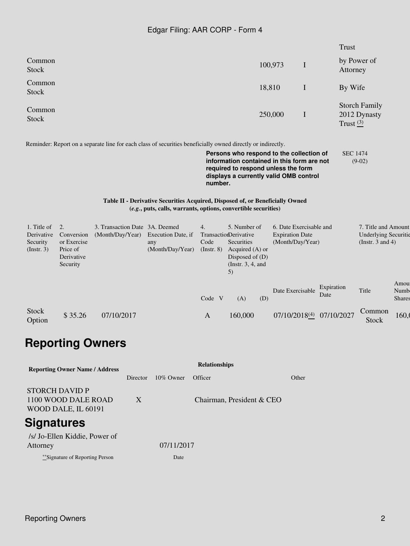## Edgar Filing: AAR CORP - Form 4

|                                                      |                                                                       |                  |          |                                                                                 |                                 |                                                                                                                                                                                                                                                                                        |                                                                       |             | <b>Trust</b>             |                                                                             |                               |
|------------------------------------------------------|-----------------------------------------------------------------------|------------------|----------|---------------------------------------------------------------------------------|---------------------------------|----------------------------------------------------------------------------------------------------------------------------------------------------------------------------------------------------------------------------------------------------------------------------------------|-----------------------------------------------------------------------|-------------|--------------------------|-----------------------------------------------------------------------------|-------------------------------|
| Common<br><b>Stock</b>                               |                                                                       |                  |          |                                                                                 |                                 |                                                                                                                                                                                                                                                                                        | 100,973                                                               | I           |                          | by Power of<br>Attorney                                                     |                               |
| Common<br><b>Stock</b>                               |                                                                       |                  |          |                                                                                 |                                 | 18,810                                                                                                                                                                                                                                                                                 |                                                                       | $\mathbf I$ |                          | By Wife                                                                     |                               |
| Common<br><b>Stock</b>                               |                                                                       |                  |          |                                                                                 |                                 |                                                                                                                                                                                                                                                                                        | 250,000                                                               | $\bf{I}$    |                          | <b>Storch Family</b><br>2012 Dynasty<br>Trust $\frac{(3)}{2}$               |                               |
|                                                      |                                                                       |                  |          |                                                                                 | number.                         | Reminder: Report on a separate line for each class of securities beneficially owned directly or indirectly.<br>Persons who respond to the collection of<br>information contained in this form are not<br>required to respond unless the form<br>displays a currently valid OMB control |                                                                       |             |                          | <b>SEC 1474</b><br>$(9-02)$                                                 |                               |
|                                                      |                                                                       |                  |          |                                                                                 |                                 | Table II - Derivative Securities Acquired, Disposed of, or Beneficially Owned<br>(e.g., puts, calls, warrants, options, convertible securities)                                                                                                                                        |                                                                       |             |                          |                                                                             |                               |
| 1. Title of<br>Derivative<br>Security<br>(Insert. 3) | 2.<br>Conversion<br>or Exercise<br>Price of<br>Derivative<br>Security | (Month/Day/Year) |          | 3. Transaction Date 3A. Deemed<br>Execution Date, if<br>any<br>(Month/Day/Year) | 4.<br>Code<br>$($ Instr. 8 $)$  | 5. Number of<br>TransactionDerivative<br>Securities<br>Acquired (A) or<br>Disposed of (D)<br>(Instr. $3, 4$ , and<br>5)                                                                                                                                                                | 6. Date Exercisable and<br><b>Expiration Date</b><br>(Month/Day/Year) |             |                          | 7. Title and Amount<br><b>Underlying Securitie</b><br>(Instr. $3$ and $4$ ) |                               |
|                                                      |                                                                       |                  |          |                                                                                 | Code V                          | (A)<br>(D)                                                                                                                                                                                                                                                                             | Date Exercisable                                                      |             | Expiration<br>Date       | Title                                                                       | Amou<br>Numb<br><b>Shares</b> |
| <b>Stock</b><br>Option                               | \$35.26                                                               | 07/10/2017       |          |                                                                                 | $\mathbf{A}$                    | 160,000                                                                                                                                                                                                                                                                                |                                                                       |             | 07/10/2018(4) 07/10/2027 | Common<br><b>Stock</b>                                                      | 160,0                         |
|                                                      | <b>Reporting Owners</b>                                               |                  |          |                                                                                 |                                 |                                                                                                                                                                                                                                                                                        |                                                                       |             |                          |                                                                             |                               |
|                                                      | <b>Reporting Owner Name / Address</b>                                 |                  | Director | 10% Owner                                                                       | <b>Relationships</b><br>Officer |                                                                                                                                                                                                                                                                                        | Other                                                                 |             |                          |                                                                             |                               |
|                                                      | <b>STORCH DAVID P</b><br>1100 WOOD DALE ROAD<br>WOOD DALE, IL 60191   |                  | X        |                                                                                 |                                 | Chairman, President & CEO                                                                                                                                                                                                                                                              |                                                                       |             |                          |                                                                             |                               |

## **Signatures**

| /s/ Jo-Ellen Kiddie, Power of    |            |
|----------------------------------|------------|
| Attorney                         | 07/11/2017 |
| ***Signature of Reporting Person | Date       |